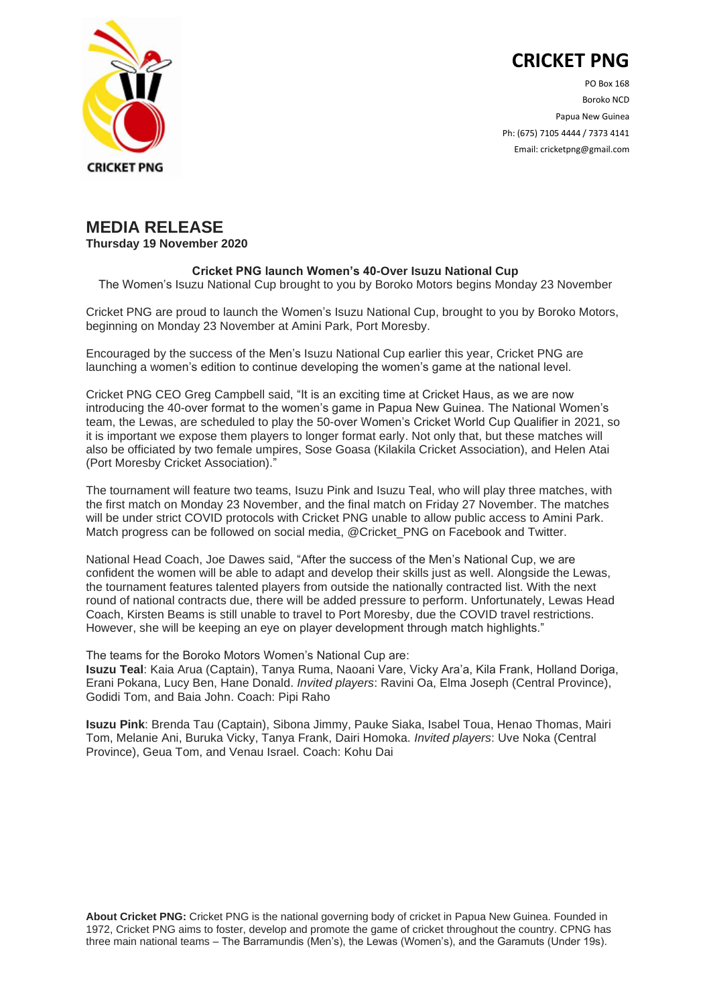## **CRICKET PNG**



PO Box 168 Boroko NCD Papua New Guinea Ph: (675) 7105 4444 / 7373 4141 Email: cricketpng@gmail.com

## **MEDIA RELEASE**

**Thursday 19 November 2020**

## **Cricket PNG launch Women's 40-Over Isuzu National Cup**

The Women's Isuzu National Cup brought to you by Boroko Motors begins Monday 23 November

Cricket PNG are proud to launch the Women's Isuzu National Cup, brought to you by Boroko Motors, beginning on Monday 23 November at Amini Park, Port Moresby.

Encouraged by the success of the Men's Isuzu National Cup earlier this year, Cricket PNG are launching a women's edition to continue developing the women's game at the national level.

Cricket PNG CEO Greg Campbell said, "It is an exciting time at Cricket Haus, as we are now introducing the 40-over format to the women's game in Papua New Guinea. The National Women's team, the Lewas, are scheduled to play the 50-over Women's Cricket World Cup Qualifier in 2021, so it is important we expose them players to longer format early. Not only that, but these matches will also be officiated by two female umpires, Sose Goasa (Kilakila Cricket Association), and Helen Atai (Port Moresby Cricket Association)."

The tournament will feature two teams, Isuzu Pink and Isuzu Teal, who will play three matches, with the first match on Monday 23 November, and the final match on Friday 27 November. The matches will be under strict COVID protocols with Cricket PNG unable to allow public access to Amini Park. Match progress can be followed on social media, @Cricket PNG on Facebook and Twitter.

National Head Coach, Joe Dawes said, "After the success of the Men's National Cup, we are confident the women will be able to adapt and develop their skills just as well. Alongside the Lewas, the tournament features talented players from outside the nationally contracted list. With the next round of national contracts due, there will be added pressure to perform. Unfortunately, Lewas Head Coach, Kirsten Beams is still unable to travel to Port Moresby, due the COVID travel restrictions. However, she will be keeping an eye on player development through match highlights."

The teams for the Boroko Motors Women's National Cup are:

**Isuzu Teal**: Kaia Arua (Captain), Tanya Ruma, Naoani Vare, Vicky Ara'a, Kila Frank, Holland Doriga, Erani Pokana, Lucy Ben, Hane Donald. *Invited players*: Ravini Oa, Elma Joseph (Central Province), Godidi Tom, and Baia John. Coach: Pipi Raho

**Isuzu Pink**: Brenda Tau (Captain), Sibona Jimmy, Pauke Siaka, Isabel Toua, Henao Thomas, Mairi Tom, Melanie Ani, Buruka Vicky, Tanya Frank, Dairi Homoka. *Invited players*: Uve Noka (Central Province), Geua Tom, and Venau Israel. Coach: Kohu Dai

**About Cricket PNG:** Cricket PNG is the national governing body of cricket in Papua New Guinea. Founded in 1972, Cricket PNG aims to foster, develop and promote the game of cricket throughout the country. CPNG has three main national teams – The Barramundis (Men's), the Lewas (Women's), and the Garamuts (Under 19s).